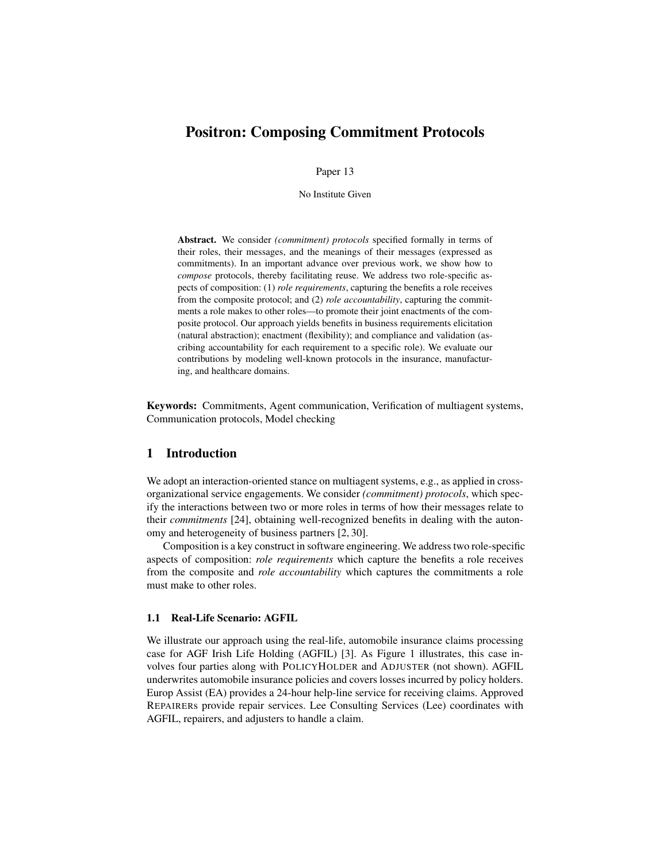# Positron: Composing Commitment Protocols

Paper 13

No Institute Given

Abstract. We consider *(commitment) protocols* specified formally in terms of their roles, their messages, and the meanings of their messages (expressed as commitments). In an important advance over previous work, we show how to *compose* protocols, thereby facilitating reuse. We address two role-specific aspects of composition: (1) *role requirements*, capturing the benefits a role receives from the composite protocol; and (2) *role accountability*, capturing the commitments a role makes to other roles—to promote their joint enactments of the composite protocol. Our approach yields benefits in business requirements elicitation (natural abstraction); enactment (flexibility); and compliance and validation (ascribing accountability for each requirement to a specific role). We evaluate our contributions by modeling well-known protocols in the insurance, manufacturing, and healthcare domains.

Keywords: Commitments, Agent communication, Verification of multiagent systems, Communication protocols, Model checking

# 1 Introduction

We adopt an interaction-oriented stance on multiagent systems, e.g., as applied in crossorganizational service engagements. We consider *(commitment) protocols*, which specify the interactions between two or more roles in terms of how their messages relate to their *commitments* [24], obtaining well-recognized benefits in dealing with the autonomy and heterogeneity of business partners [2, 30].

Composition is a key construct in software engineering. We address two role-specific aspects of composition: *role requirements* which capture the benefits a role receives from the composite and *role accountability* which captures the commitments a role must make to other roles.

### 1.1 Real-Life Scenario: AGFIL

We illustrate our approach using the real-life, automobile insurance claims processing case for AGF Irish Life Holding (AGFIL) [3]. As Figure 1 illustrates, this case involves four parties along with POLICYHOLDER and ADJUSTER (not shown). AGFIL underwrites automobile insurance policies and covers losses incurred by policy holders. Europ Assist (EA) provides a 24-hour help-line service for receiving claims. Approved REPAIRERs provide repair services. Lee Consulting Services (Lee) coordinates with AGFIL, repairers, and adjusters to handle a claim.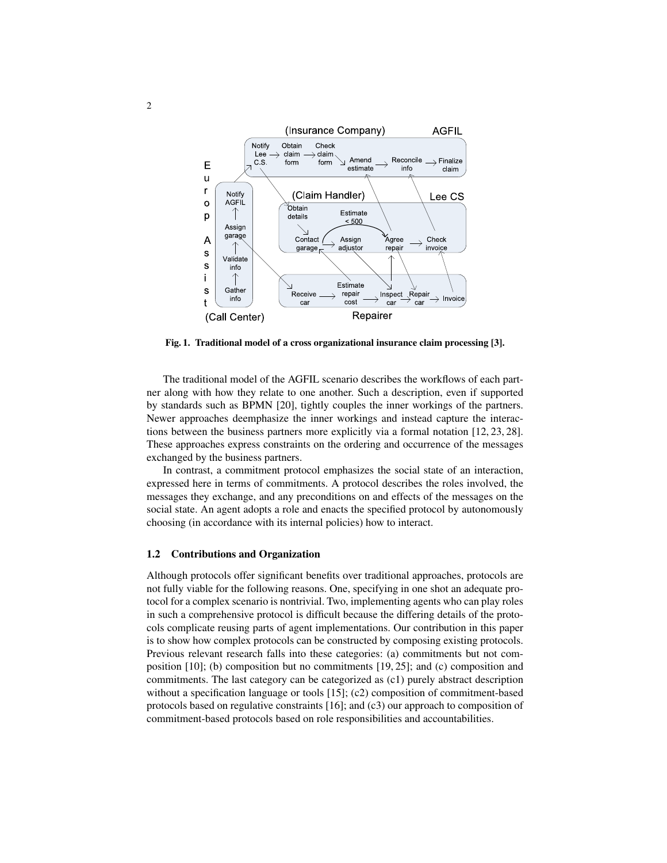

Fig. 1. Traditional model of a cross organizational insurance claim processing [3].

The traditional model of the AGFIL scenario describes the workflows of each partner along with how they relate to one another. Such a description, even if supported by standards such as BPMN [20], tightly couples the inner workings of the partners. Newer approaches deemphasize the inner workings and instead capture the interactions between the business partners more explicitly via a formal notation [12, 23, 28]. These approaches express constraints on the ordering and occurrence of the messages exchanged by the business partners.

In contrast, a commitment protocol emphasizes the social state of an interaction, expressed here in terms of commitments. A protocol describes the roles involved, the messages they exchange, and any preconditions on and effects of the messages on the social state. An agent adopts a role and enacts the specified protocol by autonomously choosing (in accordance with its internal policies) how to interact.

#### 1.2 Contributions and Organization

Although protocols offer significant benefits over traditional approaches, protocols are not fully viable for the following reasons. One, specifying in one shot an adequate protocol for a complex scenario is nontrivial. Two, implementing agents who can play roles in such a comprehensive protocol is difficult because the differing details of the protocols complicate reusing parts of agent implementations. Our contribution in this paper is to show how complex protocols can be constructed by composing existing protocols. Previous relevant research falls into these categories: (a) commitments but not composition [10]; (b) composition but no commitments [19, 25]; and (c) composition and commitments. The last category can be categorized as (c1) purely abstract description without a specification language or tools [15]; (c2) composition of commitment-based protocols based on regulative constraints [16]; and (c3) our approach to composition of commitment-based protocols based on role responsibilities and accountabilities.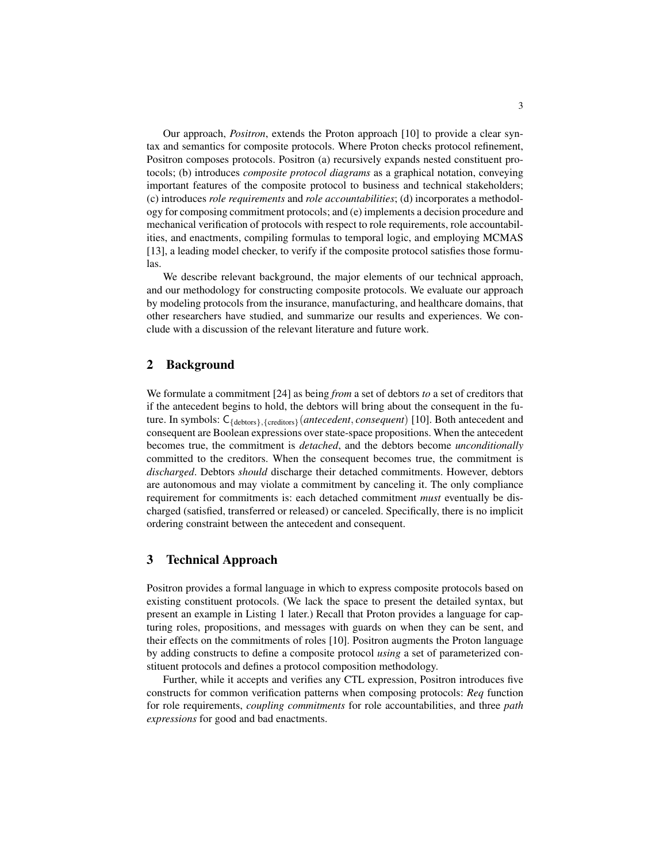Our approach, *Positron*, extends the Proton approach [10] to provide a clear syntax and semantics for composite protocols. Where Proton checks protocol refinement, Positron composes protocols. Positron (a) recursively expands nested constituent protocols; (b) introduces *composite protocol diagrams* as a graphical notation, conveying important features of the composite protocol to business and technical stakeholders; (c) introduces *role requirements* and *role accountabilities*; (d) incorporates a methodology for composing commitment protocols; and (e) implements a decision procedure and mechanical verification of protocols with respect to role requirements, role accountabilities, and enactments, compiling formulas to temporal logic, and employing MCMAS [13], a leading model checker, to verify if the composite protocol satisfies those formulas.

We describe relevant background, the major elements of our technical approach, and our methodology for constructing composite protocols. We evaluate our approach by modeling protocols from the insurance, manufacturing, and healthcare domains, that other researchers have studied, and summarize our results and experiences. We conclude with a discussion of the relevant literature and future work.

# 2 Background

We formulate a commitment [24] as being *from* a set of debtors *to* a set of creditors that if the antecedent begins to hold, the debtors will bring about the consequent in the future. In symbols: C{debtors},{creditors}(*antecedent*, *consequent*) [10]. Both antecedent and consequent are Boolean expressions over state-space propositions. When the antecedent becomes true, the commitment is *detached*, and the debtors become *unconditionally* committed to the creditors. When the consequent becomes true, the commitment is *discharged*. Debtors *should* discharge their detached commitments. However, debtors are autonomous and may violate a commitment by canceling it. The only compliance requirement for commitments is: each detached commitment *must* eventually be discharged (satisfied, transferred or released) or canceled. Specifically, there is no implicit ordering constraint between the antecedent and consequent.

# 3 Technical Approach

Positron provides a formal language in which to express composite protocols based on existing constituent protocols. (We lack the space to present the detailed syntax, but present an example in Listing 1 later.) Recall that Proton provides a language for capturing roles, propositions, and messages with guards on when they can be sent, and their effects on the commitments of roles [10]. Positron augments the Proton language by adding constructs to define a composite protocol *using* a set of parameterized constituent protocols and defines a protocol composition methodology.

Further, while it accepts and verifies any CTL expression, Positron introduces five constructs for common verification patterns when composing protocols: *Req* function for role requirements, *coupling commitments* for role accountabilities, and three *path expressions* for good and bad enactments.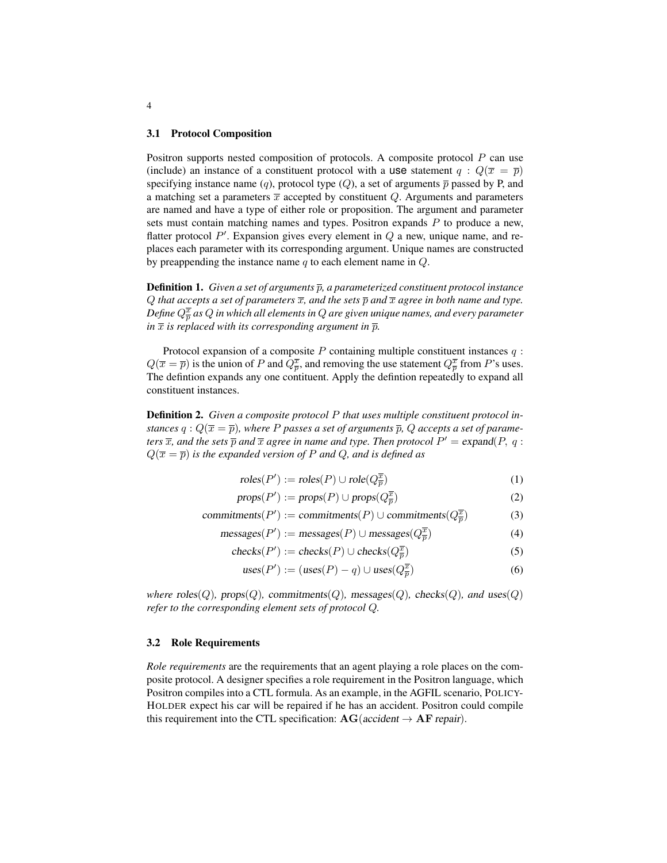#### 3.1 Protocol Composition

Positron supports nested composition of protocols. A composite protocol P can use (include) an instance of a constituent protocol with a use statement  $q : Q(\overline{x} = \overline{p})$ specifying instance name (q), protocol type (Q), a set of arguments  $\bar{p}$  passed by P, and a matching set a parameters  $\bar{x}$  accepted by constituent Q. Arguments and parameters are named and have a type of either role or proposition. The argument and parameter sets must contain matching names and types. Positron expands  $P$  to produce a new, flatter protocol  $P'$ . Expansion gives every element in  $Q$  a new, unique name, and replaces each parameter with its corresponding argument. Unique names are constructed by preappending the instance name  $q$  to each element name in  $Q$ .

**Definition 1.** *Given a set of arguments*  $\bar{p}$ , *a parameterized constituent protocol instance*  $Q$  *that accepts a set of parameters*  $\overline{x}$ *, and the sets*  $\overline{p}$  *and*  $\overline{x}$  *agree in both name and type.* Define  $Q^{\overline{x}}_{\overline{p}}$  as  $Q$  in which all elements in  $Q$  are given unique names, and every parameter *in*  $\bar{x}$  *is replaced with its corresponding argument in*  $\bar{p}$ *.* 

Protocol expansion of a composite  $P$  containing multiple constituent instances  $q$ :  $Q(\overline{x} = \overline{p})$  is the union of P and  $Q_{\overline{p}}^{\overline{x}}$ , and removing the use statement  $Q_{\overline{p}}^{\overline{x}}$  from P's uses. The defintion expands any one contituent. Apply the defintion repeatedly to expand all constituent instances.

Definition 2. *Given a composite protocol* P *that uses multiple constituent protocol instances*  $q: Q(\overline{x} = \overline{p})$ , where P passes a set of arguments  $\overline{p}$ , Q accepts a set of parame*ters*  $\overline{x}$ *, and the sets*  $\overline{p}$  *and*  $\overline{x}$  *agree in name and type. Then protocol*  $P' =$  expand( $P$ ,  $q$  :  $Q(\overline{x} = \overline{p})$  *is the expanded version of* P *and* Q, *and is defined as* 

$$
roles(P') := roles(P) \cup role(Q^{\overline{x}}_{\overline{p}})
$$
\n(1)

$$
props(P') := props(P) \cup props(Q_{\overline{p}}^{\overline{x}})
$$
\n(2)

$$
commitments(P') := commitments(P) \cup commitments(Q_{\overline{p}}^{\overline{x}})
$$
\n(3)

$$
messages(P') := messages(P) \cup messages(Q_{\overline{p}}^{\overline{x}})
$$
\n(4)

$$
checks(P') := checks(P) \cup checks(Q_{\overline{p}}^{\overline{x}})
$$
\n(5)

$$
uses(P') := (uses(P) - q) \cup uses(Q_{\overline{p}}^{\overline{x}})
$$
\n(6)

*where*  $\text{roles}(Q)$ *,*  $\text{props}(Q)$ *,*  $\text{commiments}(Q)$ *,*  $\text{message}(Q)$ *<sub><i>,*</sub>  $\text{checks}(Q)$ *, and* uses(*Q*) *refer to the corresponding element sets of protocol* Q*.*

### 3.2 Role Requirements

*Role requirements* are the requirements that an agent playing a role places on the composite protocol. A designer specifies a role requirement in the Positron language, which Positron compiles into a CTL formula. As an example, in the AGFIL scenario, POLICY-HOLDER expect his car will be repaired if he has an accident. Positron could compile this requirement into the CTL specification:  $AG(accident \rightarrow AF\ repair)$ .

4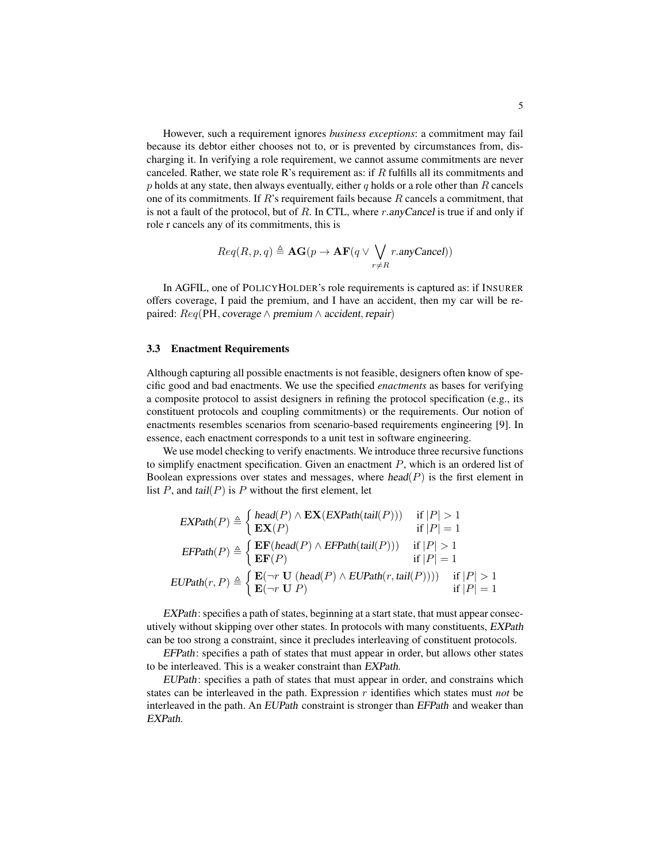However, such a requirement ignores *business exceptions*: a commitment may fail because its debtor either chooses not to, or is prevented by circumstances from, discharging it. In verifying a role requirement, we cannot assume commitments are never canceled. Rather, we state role R's requirement as: if  $R$  fulfills all its commitments and  $p$  holds at any state, then always eventually, either  $q$  holds or a role other than  $R$  cancels one of its commitments. If  $R$ 's requirement fails because  $R$  cancels a commitment, that is not a fault of the protocol, but of  $R$ . In CTL, where r.anyCancel is true if and only if role r cancels any of its commitments, this is

$$
Req(R, p, q) \triangleq \mathbf{AG}(p \to \mathbf{AF}(q \lor \bigvee_{r \neq R} r.\text{anyCancel}))
$$

In AGFIL, one of POLICYHOLDER's role requirements is captured as: if INSURER offers coverage, I paid the premium, and I have an accident, then my car will be repaired:  $Req$ (PH, coverage  $\land$  premium  $\land$  accident, repair)

### 3.3 Enactment Requirements

Although capturing all possible enactments is not feasible, designers often know of specific good and bad enactments. We use the specified *enactments* as bases for verifying a composite protocol to assist designers in refining the protocol specification (e.g., its constituent protocols and coupling commitments) or the requirements. Our notion of enactments resembles scenarios from scenario-based requirements engineering [9]. In essence, each enactment corresponds to a unit test in software engineering.

We use model checking to verify enactments. We introduce three recursive functions to simplify enactment specification. Given an enactment  $P$ , which is an ordered list of Boolean expressions over states and messages, where  $head(P)$  is the first element in list  $P$ , and tail $(P)$  is  $P$  without the first element, let

$$
\begin{aligned}\n\text{EXPath}(P) &\triangleq \left\{ \begin{aligned}\n\text{head}(P) \land \text{EX}(\text{EXPath}(\text{tail}(P))) &\quad \text{if } |P| > 1 \\
\text{EX}(P) &\quad \text{if } |P| = 1\n\end{aligned}\n\right. \\
\text{EFPath}(P) &\triangleq \left\{ \begin{aligned}\n\text{EF}(\text{head}(P) \land \text{EFPath}(\text{tail}(P))) &\quad \text{if } |P| > 1 \\
\text{EF}(P) &\quad \text{if } |P| = 1\n\end{aligned}\n\end{aligned}
$$
\n
$$
\text{EUPath}(r, P) \triangleq \left\{ \begin{aligned}\n\text{E}(\neg r \text{ U } (\text{head}(P) \land \text{EUPath}(r, \text{tail}(P)))) &\quad \text{if } |P| > 1 \\
\text{E}(\neg r \text{ U } P)\n\end{aligned}\n\right.
$$

EXPath: specifies a path of states, beginning at a start state, that must appear consecutively without skipping over other states. In protocols with many constituents, EXPath can be too strong a constraint, since it precludes interleaving of constituent protocols.

EFPath: specifies a path of states that must appear in order, but allows other states to be interleaved. This is a weaker constraint than EXPath.

EUPath: specifies a path of states that must appear in order, and constrains which states can be interleaved in the path. Expression r identifies which states must *not* be interleaved in the path. An EUPath constraint is stronger than EFPath and weaker than EXPath.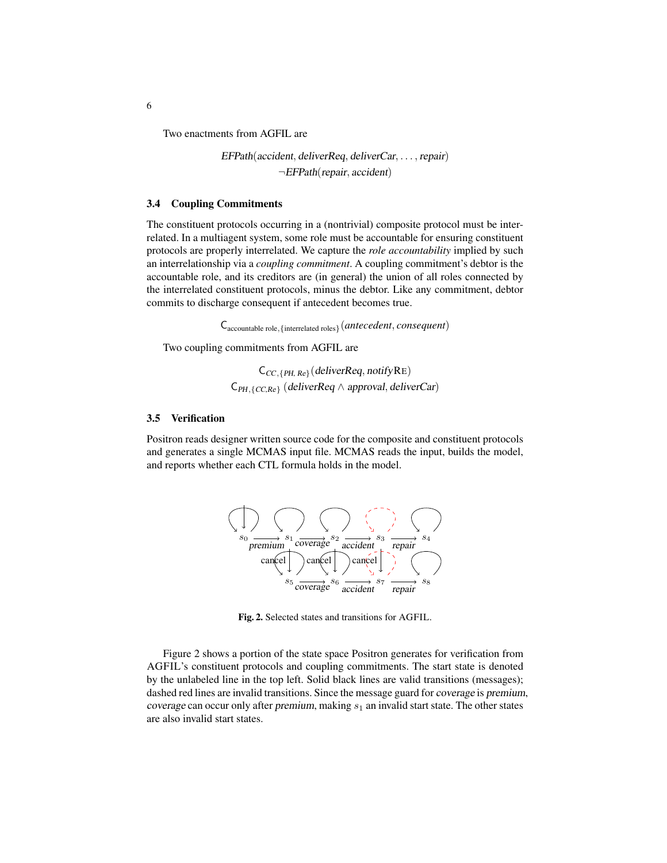Two enactments from AGFIL are

EFPath(accident, deliverReq, deliverCar, . . . , repair) ¬EFPath(repair, accident)

### 3.4 Coupling Commitments

The constituent protocols occurring in a (nontrivial) composite protocol must be interrelated. In a multiagent system, some role must be accountable for ensuring constituent protocols are properly interrelated. We capture the *role accountability* implied by such an interrelationship via a *coupling commitment*. A coupling commitment's debtor is the accountable role, and its creditors are (in general) the union of all roles connected by the interrelated constituent protocols, minus the debtor. Like any commitment, debtor commits to discharge consequent if antecedent becomes true.

Caccountable role,{interrelated roles}(*antecedent*, *consequent*)

Two coupling commitments from AGFIL are

 $C_{CC,\{PH,Re\}}$ (deliverReq, notifyRE)  $C_{PH, \{CC, Re\}}$  (deliverReq  $\wedge$  approval, deliverCar)

#### 3.5 Verification

Positron reads designer written source code for the composite and constituent protocols and generates a single MCMAS input file. MCMAS reads the input, builds the model, and reports whether each CTL formula holds in the model.



Fig. 2. Selected states and transitions for AGFIL.

Figure 2 shows a portion of the state space Positron generates for verification from AGFIL's constituent protocols and coupling commitments. The start state is denoted by the unlabeled line in the top left. Solid black lines are valid transitions (messages); dashed red lines are invalid transitions. Since the message guard for coverage is premium, coverage can occur only after premium, making  $s_1$  an invalid start state. The other states are also invalid start states.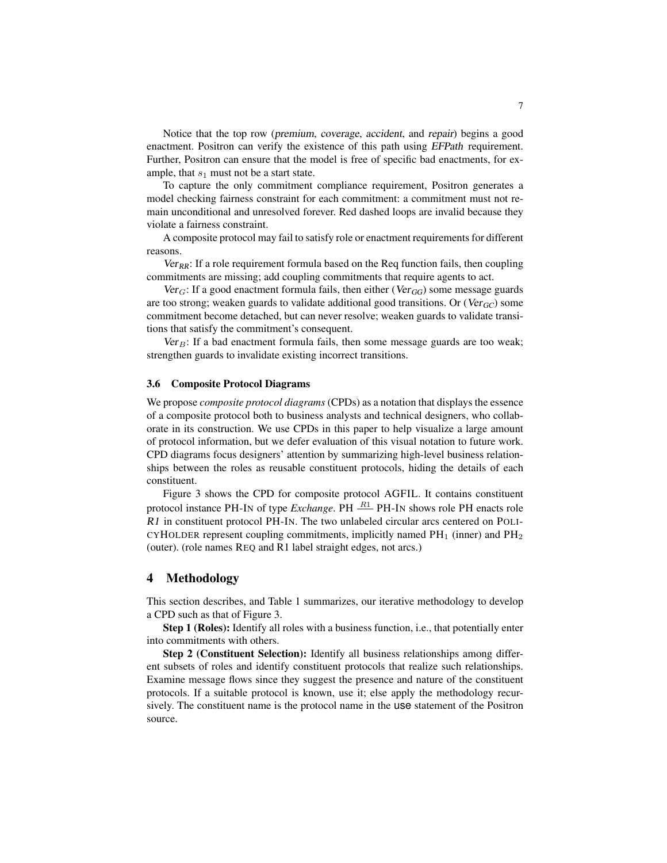Notice that the top row (premium, coverage, accident, and repair) begins a good enactment. Positron can verify the existence of this path using EFPath requirement. Further, Positron can ensure that the model is free of specific bad enactments, for example, that  $s_1$  must not be a start state.

To capture the only commitment compliance requirement, Positron generates a model checking fairness constraint for each commitment: a commitment must not remain unconditional and unresolved forever. Red dashed loops are invalid because they violate a fairness constraint.

A composite protocol may fail to satisfy role or enactment requirements for different reasons.

 $Ver_{RR}$ : If a role requirement formula based on the Req function fails, then coupling commitments are missing; add coupling commitments that require agents to act.

 $Ver_G$ : If a good enactment formula fails, then either (Ver<sub>GG</sub>) some message guards are too strong; weaken guards to validate additional good transitions. Or ( $Ver_{GC}$ ) some commitment become detached, but can never resolve; weaken guards to validate transitions that satisfy the commitment's consequent.

 $Ver_B$ : If a bad enactment formula fails, then some message guards are too weak; strengthen guards to invalidate existing incorrect transitions.

### 3.6 Composite Protocol Diagrams

We propose *composite protocol diagrams* (CPDs) as a notation that displays the essence of a composite protocol both to business analysts and technical designers, who collaborate in its construction. We use CPDs in this paper to help visualize a large amount of protocol information, but we defer evaluation of this visual notation to future work. CPD diagrams focus designers' attention by summarizing high-level business relationships between the roles as reusable constituent protocols, hiding the details of each constituent.

Figure 3 shows the CPD for composite protocol AGFIL. It contains constituent protocol instance PH-IN of type *Exchange*. PH  $\frac{R1}{1}$  PH-IN shows role PH enacts role R1 in constituent protocol PH-IN. The two unlabeled circular arcs centered on POLI-CYHOLDER represent coupling commitments, implicitly named  $PH_1$  (inner) and  $PH_2$ (outer). (role names REQ and R1 label straight edges, not arcs.)

### 4 Methodology

This section describes, and Table 1 summarizes, our iterative methodology to develop a CPD such as that of Figure 3.

Step 1 (Roles): Identify all roles with a business function, i.e., that potentially enter into commitments with others.

Step 2 (Constituent Selection): Identify all business relationships among different subsets of roles and identify constituent protocols that realize such relationships. Examine message flows since they suggest the presence and nature of the constituent protocols. If a suitable protocol is known, use it; else apply the methodology recursively. The constituent name is the protocol name in the use statement of the Positron source.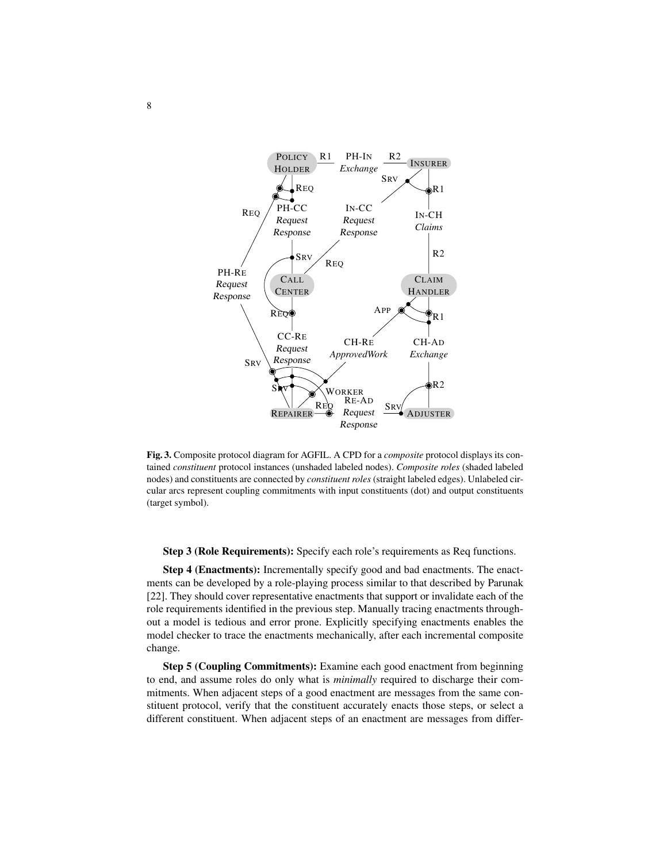

Fig. 3. Composite protocol diagram for AGFIL. A CPD for a *composite* protocol displays its contained *constituent* protocol instances (unshaded labeled nodes). *Composite roles* (shaded labeled nodes) and constituents are connected by *constituent roles* (straight labeled edges). Unlabeled circular arcs represent coupling commitments with input constituents (dot) and output constituents (target symbol).

Step 3 (Role Requirements): Specify each role's requirements as Req functions.

Step 4 (Enactments): Incrementally specify good and bad enactments. The enactments can be developed by a role-playing process similar to that described by Parunak [22]. They should cover representative enactments that support or invalidate each of the role requirements identified in the previous step. Manually tracing enactments throughout a model is tedious and error prone. Explicitly specifying enactments enables the model checker to trace the enactments mechanically, after each incremental composite change.

Step 5 (Coupling Commitments): Examine each good enactment from beginning to end, and assume roles do only what is *minimally* required to discharge their commitments. When adjacent steps of a good enactment are messages from the same constituent protocol, verify that the constituent accurately enacts those steps, or select a different constituent. When adjacent steps of an enactment are messages from differ-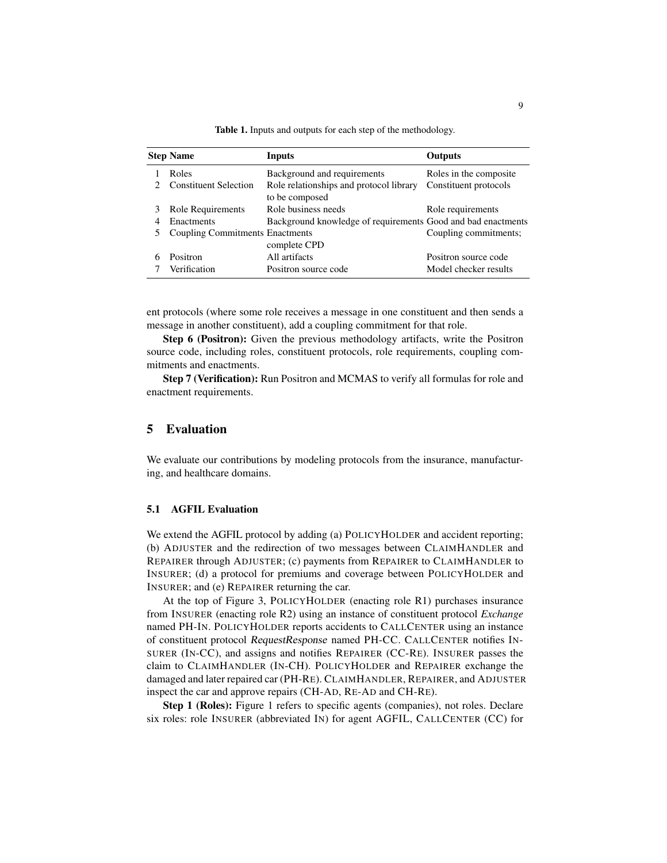|   | <b>Step Name</b>                       | <b>Inputs</b>                                                | <b>Outputs</b>         |
|---|----------------------------------------|--------------------------------------------------------------|------------------------|
|   | Roles                                  | Background and requirements                                  | Roles in the composite |
|   | <b>Constituent Selection</b>           | Role relationships and protocol library<br>to be composed    | Constituent protocols  |
| 3 | Role Requirements                      | Role business needs                                          | Role requirements      |
| 4 | Enactments                             | Background knowledge of requirements Good and bad enactments |                        |
| 5 | <b>Coupling Commitments Enactments</b> | complete CPD                                                 | Coupling commitments;  |
| 6 | Positron                               | All artifacts                                                | Positron source code   |
|   | Verification                           | Positron source code                                         | Model checker results  |

Table 1. Inputs and outputs for each step of the methodology.

ent protocols (where some role receives a message in one constituent and then sends a message in another constituent), add a coupling commitment for that role.

Step 6 (Positron): Given the previous methodology artifacts, write the Positron source code, including roles, constituent protocols, role requirements, coupling commitments and enactments.

Step 7 (Verification): Run Positron and MCMAS to verify all formulas for role and enactment requirements.

# 5 Evaluation

We evaluate our contributions by modeling protocols from the insurance, manufacturing, and healthcare domains.

## 5.1 AGFIL Evaluation

We extend the AGFIL protocol by adding (a) POLICYHOLDER and accident reporting; (b) ADJUSTER and the redirection of two messages between CLAIMHANDLER and REPAIRER through ADJUSTER; (c) payments from REPAIRER to CLAIMHANDLER to INSURER; (d) a protocol for premiums and coverage between POLICYHOLDER and INSURER; and (e) REPAIRER returning the car.

At the top of Figure 3, POLICYHOLDER (enacting role R1) purchases insurance from INSURER (enacting role R2) using an instance of constituent protocol *Exchange* named PH-IN. POLICYHOLDER reports accidents to CALLCENTER using an instance of constituent protocol RequestResponse named PH-CC. CALLCENTER notifies IN-SURER (IN-CC), and assigns and notifies REPAIRER (CC-RE). INSURER passes the claim to CLAIMHANDLER (IN-CH). POLICYHOLDER and REPAIRER exchange the damaged and later repaired car (PH-RE). CLAIMHANDLER, REPAIRER, and ADJUSTER inspect the car and approve repairs (CH-AD, RE-AD and CH-RE).

Step 1 (Roles): Figure 1 refers to specific agents (companies), not roles. Declare six roles: role INSURER (abbreviated IN) for agent AGFIL, CALLCENTER (CC) for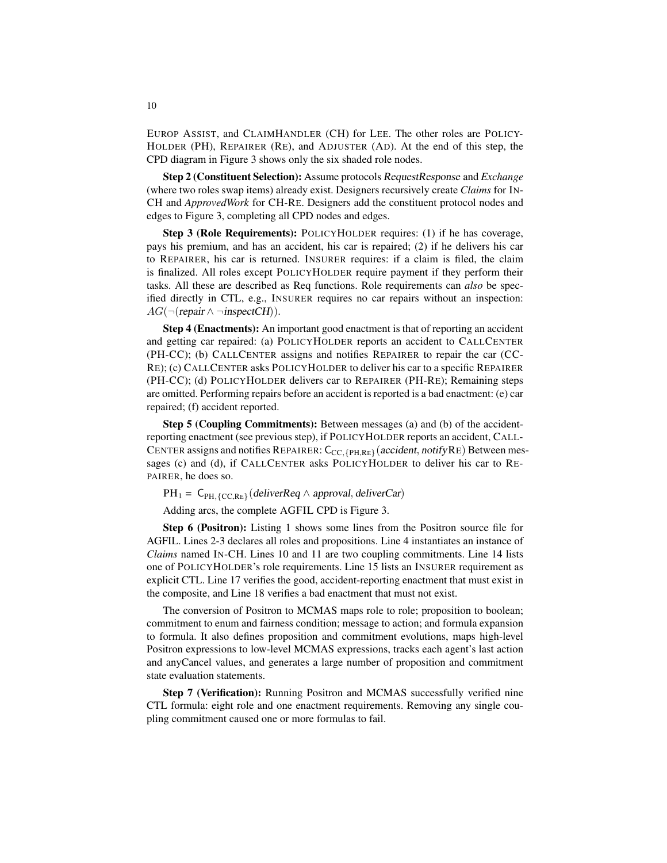EUROP ASSIST, and CLAIMHANDLER (CH) for LEE. The other roles are POLICY-HOLDER (PH), REPAIRER (RE), and ADJUSTER (AD). At the end of this step, the CPD diagram in Figure 3 shows only the six shaded role nodes.

Step 2 (Constituent Selection): Assume protocols RequestResponse and *Exchange* (where two roles swap items) already exist. Designers recursively create *Claims* for IN-CH and *ApprovedWork* for CH-RE. Designers add the constituent protocol nodes and edges to Figure 3, completing all CPD nodes and edges.

Step 3 (Role Requirements): POLICYHOLDER requires: (1) if he has coverage, pays his premium, and has an accident, his car is repaired; (2) if he delivers his car to REPAIRER, his car is returned. INSURER requires: if a claim is filed, the claim is finalized. All roles except POLICYHOLDER require payment if they perform their tasks. All these are described as Req functions. Role requirements can *also* be specified directly in CTL, e.g., INSURER requires no car repairs without an inspection:  $AG(\neg(\text{repair} \land \neg \text{inspectCH})).$ 

Step 4 (Enactments): An important good enactment is that of reporting an accident and getting car repaired: (a) POLICYHOLDER reports an accident to CALLCENTER (PH-CC); (b) CALLCENTER assigns and notifies REPAIRER to repair the car (CC-RE); (c) CALLCENTER asks POLICYHOLDER to deliver his car to a specific REPAIRER (PH-CC); (d) POLICYHOLDER delivers car to REPAIRER (PH-RE); Remaining steps are omitted. Performing repairs before an accident is reported is a bad enactment: (e) car repaired; (f) accident reported.

Step 5 (Coupling Commitments): Between messages (a) and (b) of the accidentreporting enactment (see previous step), if POLICYHOLDER reports an accident, CALL-CENTER assigns and notifies REPAIRER:  $C_{\text{CC,{PH,RE}}}$  (accident, notifyRE) Between messages (c) and (d), if CALLCENTER asks POLICYHOLDER to deliver his car to RE-PAIRER, he does so.

 $PH_1 = C_{PH,\{CC,RE\}}(deliverReg \wedge approach, deliverCar)$ 

Adding arcs, the complete AGFIL CPD is Figure 3.

Step 6 (Positron): Listing 1 shows some lines from the Positron source file for AGFIL. Lines 2-3 declares all roles and propositions. Line 4 instantiates an instance of *Claims* named IN-CH. Lines 10 and 11 are two coupling commitments. Line 14 lists one of POLICYHOLDER's role requirements. Line 15 lists an INSURER requirement as explicit CTL. Line 17 verifies the good, accident-reporting enactment that must exist in the composite, and Line 18 verifies a bad enactment that must not exist.

The conversion of Positron to MCMAS maps role to role; proposition to boolean; commitment to enum and fairness condition; message to action; and formula expansion to formula. It also defines proposition and commitment evolutions, maps high-level Positron expressions to low-level MCMAS expressions, tracks each agent's last action and anyCancel values, and generates a large number of proposition and commitment state evaluation statements.

Step 7 (Verification): Running Positron and MCMAS successfully verified nine CTL formula: eight role and one enactment requirements. Removing any single coupling commitment caused one or more formulas to fail.

10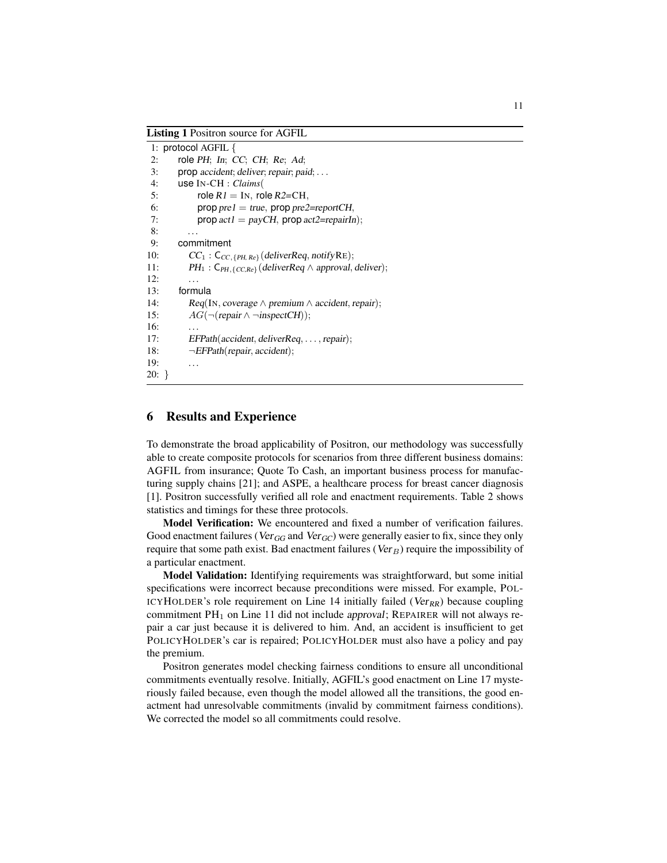Listing 1 Positron source for AGFIL

|       | 1: protocol AGFIL {                                                                   |
|-------|---------------------------------------------------------------------------------------|
| 2:    | role PH; In; CC; CH; Re; Ad;                                                          |
| 3:    | $prop$ accident; deliver; repair; paid; $\ldots$                                      |
| 4:    | use $IN-CH : Clains($                                                                 |
| 5:    | role $R1 = IN$ , role $R2 = CH$ ,                                                     |
| 6:    | $\text{prop} \text{ pre1} = \text{true}, \text{prop} \text{ pre2} = \text{reportCH},$ |
| 7:    | prop $act1 = payCH$ , prop $act2 = repairIn$ ;                                        |
| 8:    | $\cdots$                                                                              |
| 9:    | commitment                                                                            |
| 10:   | $CC_1$ : $C_{CC, \{PH, Re\}}$ (deliverReq, notifyRE);                                 |
| 11:   | $PH_1: C_{PH, \{CC, Re\}}$ (deliverReq $\wedge$ approval, deliver);                   |
| 12:   |                                                                                       |
| 13:   | formula                                                                               |
| 14:   | $Reg(In, coverage \wedge premium \wedge accident, repair);$                           |
| 15:   | $AG(\neg(\text{ repair} \land \neg \text{inspectCH}));$                               |
| 16:   | .                                                                                     |
| 17:   | $EFPath(accident, deliverReg, \ldots, repair);$                                       |
| 18:   | $\neg EFPath(repair, accident);$                                                      |
| 19:   |                                                                                       |
| 20: } |                                                                                       |
|       |                                                                                       |

# 6 Results and Experience

To demonstrate the broad applicability of Positron, our methodology was successfully able to create composite protocols for scenarios from three different business domains: AGFIL from insurance; Quote To Cash, an important business process for manufacturing supply chains [21]; and ASPE, a healthcare process for breast cancer diagnosis [1]. Positron successfully verified all role and enactment requirements. Table 2 shows statistics and timings for these three protocols.

Model Verification: We encountered and fixed a number of verification failures. Good enactment failures (Ver<sub>GG</sub> and Ver<sub>GC</sub>) were generally easier to fix, since they only require that some path exist. Bad enactment failures ( $Ver_B$ ) require the impossibility of a particular enactment.

Model Validation: Identifying requirements was straightforward, but some initial specifications were incorrect because preconditions were missed. For example, POL-ICYHOLDER's role requirement on Line 14 initially failed ( $Ver_{RR}$ ) because coupling commitment  $PH_1$  on Line 11 did not include approval; REPAIRER will not always repair a car just because it is delivered to him. And, an accident is insufficient to get POLICYHOLDER's car is repaired; POLICYHOLDER must also have a policy and pay the premium.

Positron generates model checking fairness conditions to ensure all unconditional commitments eventually resolve. Initially, AGFIL's good enactment on Line 17 mysteriously failed because, even though the model allowed all the transitions, the good enactment had unresolvable commitments (invalid by commitment fairness conditions). We corrected the model so all commitments could resolve.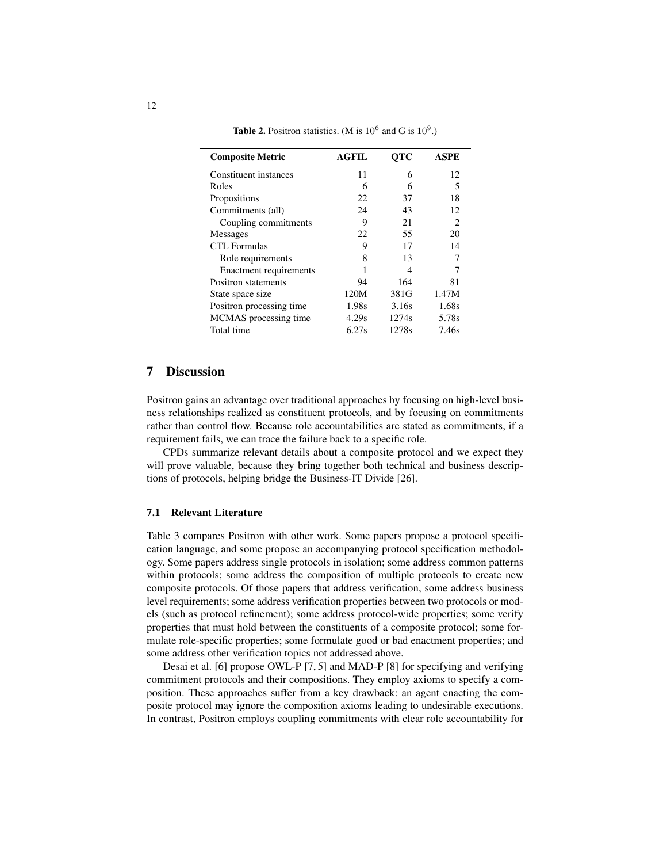| <b>Composite Metric</b>       | <b>AGFIL</b> | <b>OTC</b> | <b>ASPE</b> |  |  |
|-------------------------------|--------------|------------|-------------|--|--|
| Constituent instances         | 11           | 6          | 12          |  |  |
| Roles                         | 6            | 6          | 5           |  |  |
| Propositions                  | 22           | 37         | 18          |  |  |
| Commitments (all)             | 24           | 43         | 12          |  |  |
| Coupling commitments          | 9            | 21         | 2           |  |  |
| <b>Messages</b>               | 22           | 55         | 20          |  |  |
| CTL Formulas                  | 9            | 17         | 14          |  |  |
| Role requirements             | 8            | 13         |             |  |  |
| <b>Enactment requirements</b> |              | 4          |             |  |  |
| Positron statements           | 94           | 164        | 81          |  |  |
| State space size              | 120M         | 381G       | 1.47M       |  |  |
| Positron processing time      | 1.98s        | 3.16s      | 1.68s       |  |  |
| MCMAS processing time         | 4.29s        | 1274s      | 5.78s       |  |  |
| Total time                    | 6.27s        | 1278s      | 7.46s       |  |  |

**Table 2.** Positron statistics. (M is  $10^6$  and G is  $10^9$ .)

# 7 Discussion

Positron gains an advantage over traditional approaches by focusing on high-level business relationships realized as constituent protocols, and by focusing on commitments rather than control flow. Because role accountabilities are stated as commitments, if a requirement fails, we can trace the failure back to a specific role.

CPDs summarize relevant details about a composite protocol and we expect they will prove valuable, because they bring together both technical and business descriptions of protocols, helping bridge the Business-IT Divide [26].

### 7.1 Relevant Literature

Table 3 compares Positron with other work. Some papers propose a protocol specification language, and some propose an accompanying protocol specification methodology. Some papers address single protocols in isolation; some address common patterns within protocols; some address the composition of multiple protocols to create new composite protocols. Of those papers that address verification, some address business level requirements; some address verification properties between two protocols or models (such as protocol refinement); some address protocol-wide properties; some verify properties that must hold between the constituents of a composite protocol; some formulate role-specific properties; some formulate good or bad enactment properties; and some address other verification topics not addressed above.

Desai et al. [6] propose OWL-P [7, 5] and MAD-P [8] for specifying and verifying commitment protocols and their compositions. They employ axioms to specify a composition. These approaches suffer from a key drawback: an agent enacting the composite protocol may ignore the composition axioms leading to undesirable executions. In contrast, Positron employs coupling commitments with clear role accountability for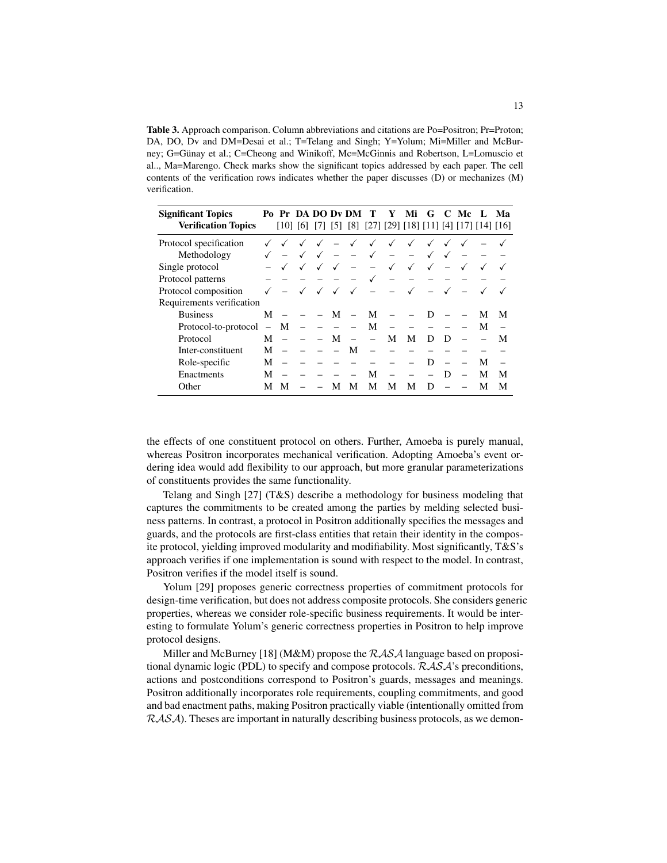Table 3. Approach comparison. Column abbreviations and citations are Po=Positron; Pr=Proton; DA, DO, Dv and DM=Desai et al.; T=Telang and Singh; Y=Yolum; Mi=Miller and McBurney; G=Günay et al.; C=Cheong and Winikoff, Mc=McGinnis and Robertson, L=Lomuscio et al.., Ma=Marengo. Check marks show the significant topics addressed by each paper. The cell contents of the verification rows indicates whether the paper discusses (D) or mechanizes (M) verification.

| <b>Significant Topics</b>  |                          |     |     |      |                   | Po Pr DA DO Dv DM | т                                          | Y            | Мi | G | C | Mc |   | Ma |
|----------------------------|--------------------------|-----|-----|------|-------------------|-------------------|--------------------------------------------|--------------|----|---|---|----|---|----|
| <b>Verification Topics</b> |                          | 101 | [6] | 17 I | $\lceil 5 \rceil$ |                   | [8] [27] [29] [18] [11] [4] [17] [14] [16] |              |    |   |   |    |   |    |
| Protocol specification     |                          |     |     |      |                   |                   |                                            |              |    |   |   |    |   |    |
| Methodology                |                          |     |     |      |                   |                   | $\checkmark$                               |              |    |   |   |    |   |    |
| Single protocol            |                          |     | ✓   | ✓    | ✓                 |                   |                                            | $\checkmark$ | ✓  | ✓ |   |    |   |    |
| Protocol patterns          |                          |     |     |      |                   |                   |                                            |              |    |   |   |    |   |    |
| Protocol composition       |                          |     |     |      | ✓                 | √                 |                                            |              |    |   |   |    |   |    |
| Requirements verification  |                          |     |     |      |                   |                   |                                            |              |    |   |   |    |   |    |
| <b>Business</b>            | M                        |     |     |      | М                 |                   | М                                          |              |    |   |   |    | М | М  |
| Protocol-to-protocol       | $\overline{\phantom{0}}$ | М   |     |      |                   |                   | М                                          |              |    |   |   |    | М |    |
| Protocol                   | M                        |     |     |      | М                 |                   |                                            | М            | М  | Ð | D |    |   | М  |
| Inter-constituent          | М                        |     |     |      |                   | М                 |                                            |              |    |   |   |    |   |    |
| Role-specific              | М                        |     |     |      |                   |                   |                                            |              |    | Ð |   |    | М |    |
| Enactments                 | М                        |     |     |      |                   |                   | M                                          |              |    |   | D |    | М | М  |
| Other                      | М                        | м   |     |      | М                 | м                 | М                                          | М            | М  | Ð |   |    | М | М  |

the effects of one constituent protocol on others. Further, Amoeba is purely manual, whereas Positron incorporates mechanical verification. Adopting Amoeba's event ordering idea would add flexibility to our approach, but more granular parameterizations of constituents provides the same functionality.

Telang and Singh [27] (T&S) describe a methodology for business modeling that captures the commitments to be created among the parties by melding selected business patterns. In contrast, a protocol in Positron additionally specifies the messages and guards, and the protocols are first-class entities that retain their identity in the composite protocol, yielding improved modularity and modifiability. Most significantly, T&S's approach verifies if one implementation is sound with respect to the model. In contrast, Positron verifies if the model itself is sound.

Yolum [29] proposes generic correctness properties of commitment protocols for design-time verification, but does not address composite protocols. She considers generic properties, whereas we consider role-specific business requirements. It would be interesting to formulate Yolum's generic correctness properties in Positron to help improve protocol designs.

Miller and McBurney [18] (M&M) propose the  $RASA$  language based on propositional dynamic logic (PDL) to specify and compose protocols. RASA's preconditions, actions and postconditions correspond to Positron's guards, messages and meanings. Positron additionally incorporates role requirements, coupling commitments, and good and bad enactment paths, making Positron practically viable (intentionally omitted from  $RASA$ ). Theses are important in naturally describing business protocols, as we demon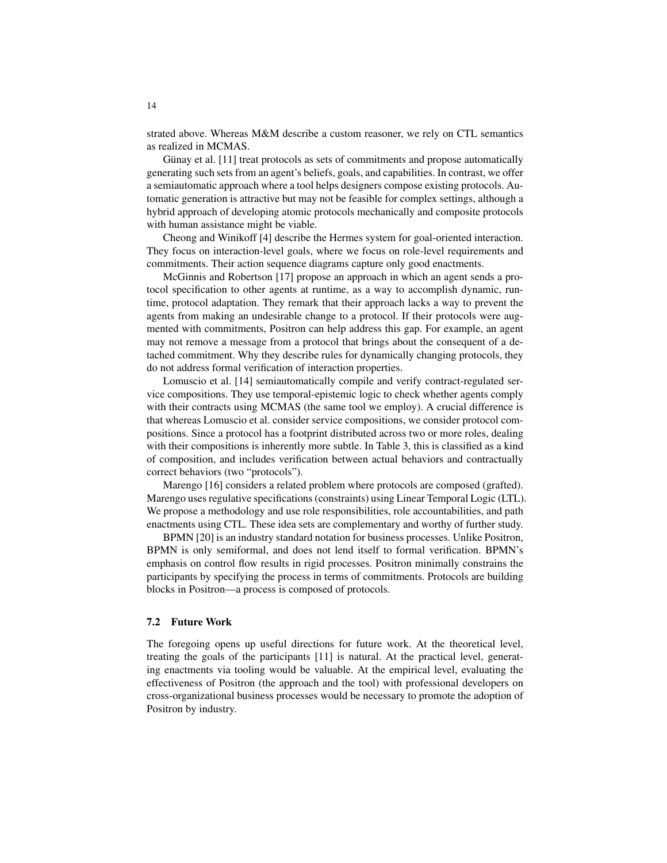strated above. Whereas M&M describe a custom reasoner, we rely on CTL semantics as realized in MCMAS.

Günay et al.  $[11]$  treat protocols as sets of commitments and propose automatically generating such sets from an agent's beliefs, goals, and capabilities. In contrast, we offer a semiautomatic approach where a tool helps designers compose existing protocols. Automatic generation is attractive but may not be feasible for complex settings, although a hybrid approach of developing atomic protocols mechanically and composite protocols with human assistance might be viable.

Cheong and Winikoff [4] describe the Hermes system for goal-oriented interaction. They focus on interaction-level goals, where we focus on role-level requirements and commitments. Their action sequence diagrams capture only good enactments.

McGinnis and Robertson [17] propose an approach in which an agent sends a protocol specification to other agents at runtime, as a way to accomplish dynamic, runtime, protocol adaptation. They remark that their approach lacks a way to prevent the agents from making an undesirable change to a protocol. If their protocols were augmented with commitments, Positron can help address this gap. For example, an agent may not remove a message from a protocol that brings about the consequent of a detached commitment. Why they describe rules for dynamically changing protocols, they do not address formal verification of interaction properties.

Lomuscio et al. [14] semiautomatically compile and verify contract-regulated service compositions. They use temporal-epistemic logic to check whether agents comply with their contracts using MCMAS (the same tool we employ). A crucial difference is that whereas Lomuscio et al. consider service compositions, we consider protocol compositions. Since a protocol has a footprint distributed across two or more roles, dealing with their compositions is inherently more subtle. In Table 3, this is classified as a kind of composition, and includes verification between actual behaviors and contractually correct behaviors (two "protocols").

Marengo [16] considers a related problem where protocols are composed (grafted). Marengo uses regulative specifications (constraints) using Linear Temporal Logic (LTL). We propose a methodology and use role responsibilities, role accountabilities, and path enactments using CTL. These idea sets are complementary and worthy of further study.

BPMN [20] is an industry standard notation for business processes. Unlike Positron, BPMN is only semiformal, and does not lend itself to formal verification. BPMN's emphasis on control flow results in rigid processes. Positron minimally constrains the participants by specifying the process in terms of commitments. Protocols are building blocks in Positron—a process is composed of protocols.

#### 7.2 Future Work

The foregoing opens up useful directions for future work. At the theoretical level, treating the goals of the participants [11] is natural. At the practical level, generating enactments via tooling would be valuable. At the empirical level, evaluating the effectiveness of Positron (the approach and the tool) with professional developers on cross-organizational business processes would be necessary to promote the adoption of Positron by industry.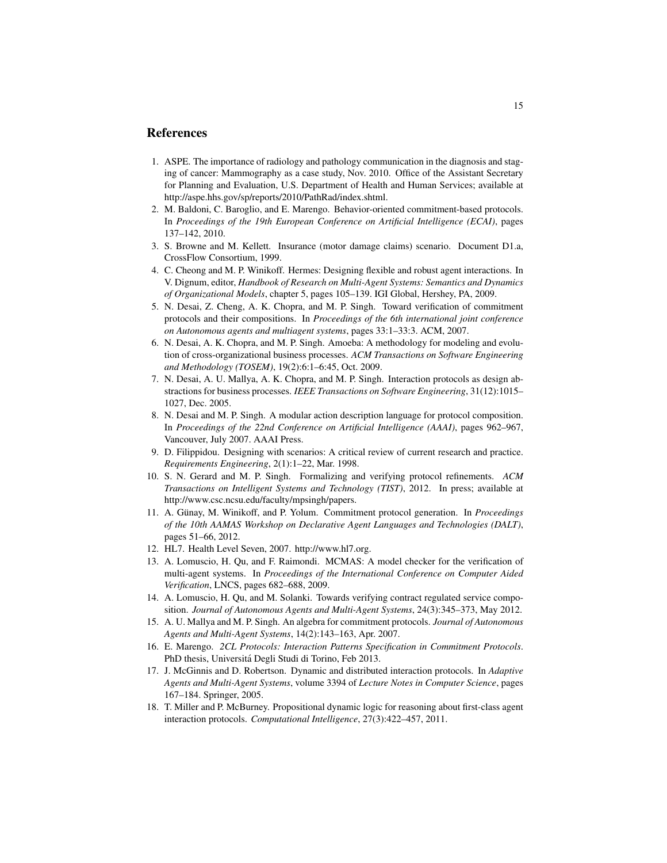# References

- 1. ASPE. The importance of radiology and pathology communication in the diagnosis and staging of cancer: Mammography as a case study, Nov. 2010. Office of the Assistant Secretary for Planning and Evaluation, U.S. Department of Health and Human Services; available at http://aspe.hhs.gov/sp/reports/2010/PathRad/index.shtml.
- 2. M. Baldoni, C. Baroglio, and E. Marengo. Behavior-oriented commitment-based protocols. In *Proceedings of the 19th European Conference on Artificial Intelligence (ECAI)*, pages 137–142, 2010.
- 3. S. Browne and M. Kellett. Insurance (motor damage claims) scenario. Document D1.a, CrossFlow Consortium, 1999.
- 4. C. Cheong and M. P. Winikoff. Hermes: Designing flexible and robust agent interactions. In V. Dignum, editor, *Handbook of Research on Multi-Agent Systems: Semantics and Dynamics of Organizational Models*, chapter 5, pages 105–139. IGI Global, Hershey, PA, 2009.
- 5. N. Desai, Z. Cheng, A. K. Chopra, and M. P. Singh. Toward verification of commitment protocols and their compositions. In *Proceedings of the 6th international joint conference on Autonomous agents and multiagent systems*, pages 33:1–33:3. ACM, 2007.
- 6. N. Desai, A. K. Chopra, and M. P. Singh. Amoeba: A methodology for modeling and evolution of cross-organizational business processes. *ACM Transactions on Software Engineering and Methodology (TOSEM)*, 19(2):6:1–6:45, Oct. 2009.
- 7. N. Desai, A. U. Mallya, A. K. Chopra, and M. P. Singh. Interaction protocols as design abstractions for business processes. *IEEE Transactions on Software Engineering*, 31(12):1015– 1027, Dec. 2005.
- 8. N. Desai and M. P. Singh. A modular action description language for protocol composition. In *Proceedings of the 22nd Conference on Artificial Intelligence (AAAI)*, pages 962–967, Vancouver, July 2007. AAAI Press.
- 9. D. Filippidou. Designing with scenarios: A critical review of current research and practice. *Requirements Engineering*, 2(1):1–22, Mar. 1998.
- 10. S. N. Gerard and M. P. Singh. Formalizing and verifying protocol refinements. *ACM Transactions on Intelligent Systems and Technology (TIST)*, 2012. In press; available at http://www.csc.ncsu.edu/faculty/mpsingh/papers.
- 11. A. Günay, M. Winikoff, and P. Yolum. Commitment protocol generation. In *Proceedings of the 10th AAMAS Workshop on Declarative Agent Languages and Technologies (DALT)*, pages 51–66, 2012.
- 12. HL7. Health Level Seven, 2007. http://www.hl7.org.
- 13. A. Lomuscio, H. Qu, and F. Raimondi. MCMAS: A model checker for the verification of multi-agent systems. In *Proceedings of the International Conference on Computer Aided Verification*, LNCS, pages 682–688, 2009.
- 14. A. Lomuscio, H. Qu, and M. Solanki. Towards verifying contract regulated service composition. *Journal of Autonomous Agents and Multi-Agent Systems*, 24(3):345–373, May 2012.
- 15. A. U. Mallya and M. P. Singh. An algebra for commitment protocols. *Journal of Autonomous Agents and Multi-Agent Systems*, 14(2):143–163, Apr. 2007.
- 16. E. Marengo. *2CL Protocols: Interaction Patterns Specification in Commitment Protocols*. PhD thesis, Universita Degli Studi di Torino, Feb 2013. ´
- 17. J. McGinnis and D. Robertson. Dynamic and distributed interaction protocols. In *Adaptive Agents and Multi-Agent Systems*, volume 3394 of *Lecture Notes in Computer Science*, pages 167–184. Springer, 2005.
- 18. T. Miller and P. McBurney. Propositional dynamic logic for reasoning about first-class agent interaction protocols. *Computational Intelligence*, 27(3):422–457, 2011.